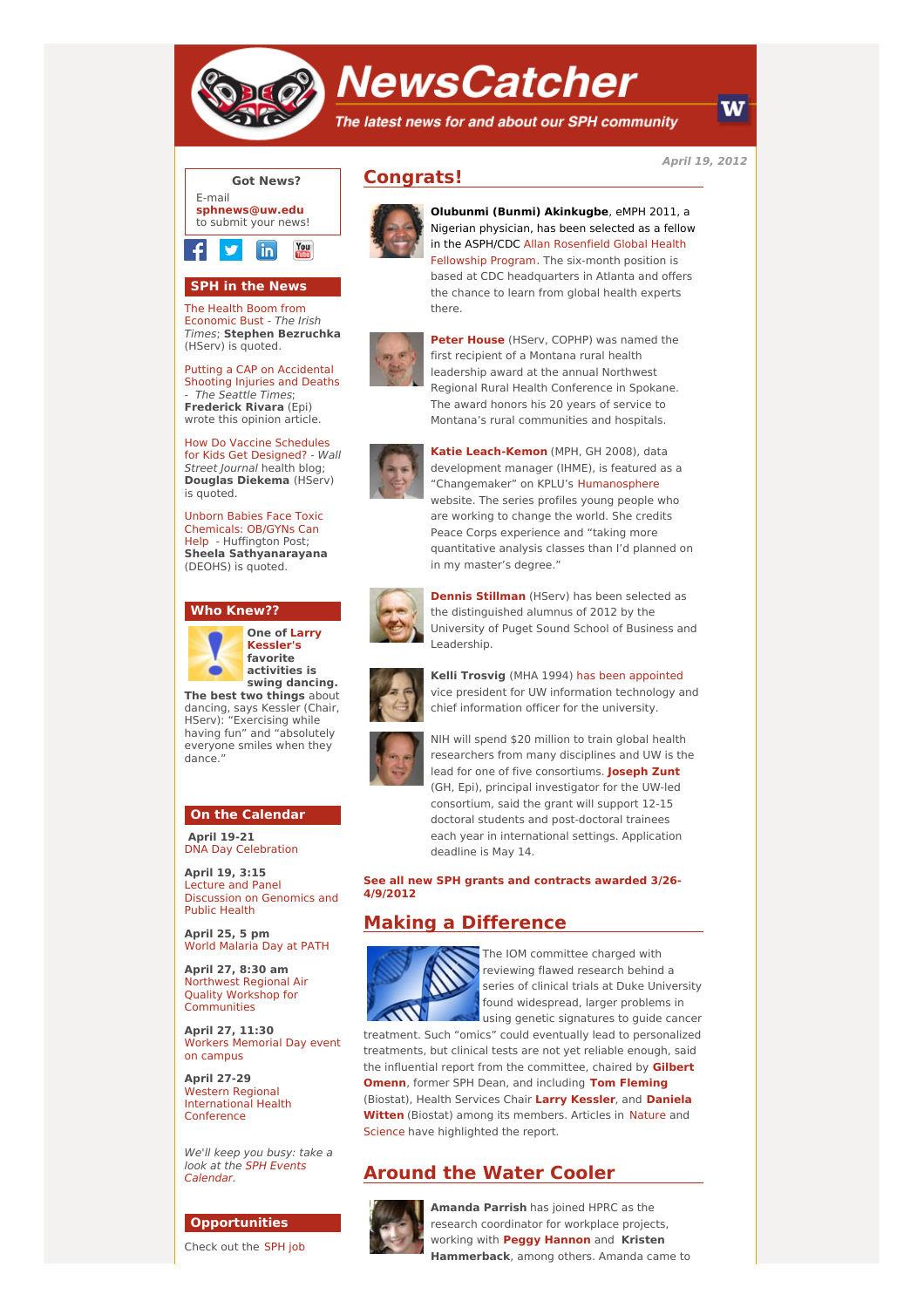

# **NewsCatcher**

The latest news for and about our SPH community

**April 19, 2012**



### **SPH in the News**

The Health Boom from [Economic](http://engage.washington.edu/site/R?i=VPyo-edjELQ0n9BnFig0yg) Bust - The Irish Times; **Stephen Bezruchka** (HServ) is quoted.

Putting a CAP on [Accidental](http://engage.washington.edu/site/R?i=QIcvSjqm7ceS4RFSsD7j6g) Shooting Injuries and Deaths - The Seattle Times; **Frederick Rivara** (Epi) wrote this opinion article.

How Do Vaccine Schedules for Kids Get [Designed?](http://engage.washington.edu/site/R?i=_mgpYDoGasdp7UPJlr8FOA) - Wall Street Journal health blog; **Douglas Diekema** (HServ) is quoted.

Unborn Babies Face Toxic [Chemicals:](http://engage.washington.edu/site/R?i=fvAccRIj90eD9_f6dDhgNA) OB/GYNs Can Help - Huffington Post; **Sheela Sathyanarayana** (DEOHS) is quoted.

#### **Who Knew??**



**One of Larry [Kessler's](http://engage.washington.edu/site/R?i=6LW_Q8TEBCr0SfaBiegCyw) favorite activities is swing dancing. The best two things** about

dancing, says Kessler (Chair, HServ): "Exercising while having fun" and "absolutely everyone smiles when they dance."

#### **On the Calendar**

**April 19-21** DNA Day [Celebration](http://engage.washington.edu/site/R?i=x4LYYlcXpDaxbgrIDyctMQ)

**April 19, 3:15** Lecture and Panel [Discussion](http://engage.washington.edu/site/R?i=1V6XQa21nhvaDgGZNPh_2Q) on Genomics and Public Health

**April 25, 5 pm** World [Malaria](http://engage.washington.edu/site/R?i=mN9Htv6B7jzhCQP6H7iz9A) Day at PATH

**April 27, 8:30 am** Northwest Regional Air Quality Workshop for **[Communities](http://engage.washington.edu/site/R?i=4st2StetcElgvF8pOnfbbA)** 

**April 27, 11:30** Workers [Memorial](http://engage.washington.edu/site/R?i=2fnOrBdmnHA9gzo66S1nIA) Day event on campus

**April 27-29** Western Regional [International](http://engage.washington.edu/site/R?i=hpi6eAIUjPwoZAZK10K9Bg) Health Conference

We'll keep you busy: take a look at the SPH Events [Calendar.](http://engage.washington.edu/site/R?i=WtwDFrRmfoG5GtPd55atkA)

## **Opportunities**

[Check](http://engage.washington.edu/site/R?i=2FUkfhXrXoRUJRnqDYgSZQ) out the SPH job

## **Congrats!**



**Olubunmi (Bunmi) Akinkugbe**, eMPH 2011, a Nigerian physician, has been selected as a fellow in the ASPH/CD[C](http://engage.washington.edu/site/R?i=fZrn7C3TBS6DA3zg-xLqtg) Allan [Rosenfield](http://engage.washington.edu/site/R?i=23YERPyAmPYq9xtOI8v0BA) Global Health Fellowship Program. The six-month position is based at CDC headquarters in Atlanta and offers the chance to learn from global health experts there.



**Peter [House](http://engage.washington.edu/site/R?i=T4X-MBw7s9xv-dtpILje5w)** (HServ, COPHP) was named the first recipient of a Montana rural health leadership award at the annual Northwest Regional Rural Health Conference in Spokane. The award honors his 20 years of service to Montana's rural communities and hospitals.



**Katie [Leach-Kemon](http://engage.washington.edu/site/R?i=5Xp7nqWU1CQLG9oCH1wKXg)** (MPH, GH 2008), data development manager (IHME), is featured as a "Changemaker" on KPLU's [Humanosphere](http://engage.washington.edu/site/R?i=UvB2bFRJhmseOsQKjaFVFw) website. The series profiles young people who are working to change the world. She credits Peace Corps experience and "taking more quantitative analysis classes than I'd planned on in my master's degree."



**Dennis [Stillman](http://engage.washington.edu/site/R?i=Q8OyzhzA8oAaaCYovEx-Vw)** (HServ) has been selected as the distinguished alumnus of 2012 by the University of Puget Sound School of Business and Leadership.



**Kelli Trosvig** (MHA 1994) has been [appointed](http://engage.washington.edu/site/R?i=Dfm9gzD_A30z3rnvl9Oo5w) vice president for UW information technology and chief information officer for the university.



NIH will spend \$20 million to train global health researchers from many disciplines and UW is the lead for one of five consortiums. **[Joseph](http://engage.washington.edu/site/R?i=--jKS9nco47e7jXstUwV-w) Zunt** (GH, Epi), principal investigator for the UW-led consortium, said the grant will support 12-15 doctoral students and post-doctoral trainees each year in international settings. Application deadline is May 14.

**See all new SPH grants and [contracts](http://engage.washington.edu/site/R?i=yzWKk32Ai-iu-8tSzv7NiQ) awarded 3/26- 4/9/2012**

## **Making a Difference**



The IOM committee charged with reviewing flawed research behind a series of clinical trials at Duke University found widespread, larger problems in using genetic signatures to guide cancer

treatment. Such "omics" could eventually lead to personalized treatments, but clinical tests are not yet reliable enough, said the influential report from the [committee,](http://engage.washington.edu/site/R?i=6VHobsTQaL-E9JF5Gj58Pg) chaired by **Gilbert Omenn**, former SPH Dean, and including **Tom [Fleming](http://engage.washington.edu/site/R?i=QUA_MPhlz9ccacdZvFueNg)** (Biostat), Health Services Chair **Larry [Kessler](http://engage.washington.edu/site/R?i=tip8MXT4yeHN554plTlGdQ)**, and **Daniela Witten** (Biostat) among its [members.](http://engage.washington.edu/site/R?i=InMsdKrNs0u67o7I5MUHwA) Articles in [Nature](http://engage.washington.edu/site/R?i=twSScCpzGn4pF_KCcZ1-bQ) and [Science](http://engage.washington.edu/site/R?i=WZZVbrxDdP9e4whgGw4NqA) have highlighted the report.

# **Around the Water Cooler**



**Amanda Parrish** has joined HPRC as the research coordinator for workplace projects, working with **Peggy [Hannon](http://engage.washington.edu/site/R?i=bQEbRHs6puEv9WvMnp3ZNg)** and **Kristen Hammerback**, among others. Amanda came to

W